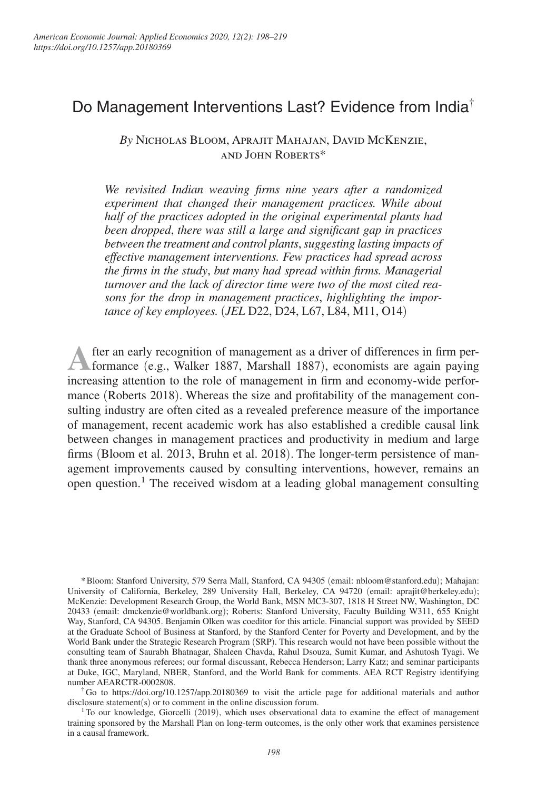# Do Management Interventions Last? Evidence from India†

*By* Nicholas Bloom, Aprajit Mahajan, David McKenzie, and John Roberts\*

*We revisited Indian weaving firms nine years after a randomized experiment that changed their management practices. While about half of the practices adopted in the original experimental plants had been dropped*, *there was still a large and significant gap in practices between the treatment and control plants*, *suggesting lasting impacts of effective management interventions. Few practices had spread across the firms in the study*, *but many had spread within firms. Managerial turnover and the lack of director time were two of the most cited reasons for the drop in management practices*, *highlighting the importance of key employees.* (*JEL* D22, D24, L67, L84, M11, O14)

**A** fter an early recognition of management as a driver of differences in firm performance (e.g., Walker 1887, Marshall 1887), economists are again paying increasing attention to the role of management in firm and economy-wide performance (Roberts 2018). Whereas the size and profitability of the management consulting industry are often cited as a revealed preference measure of the importance of management, recent academic work has also established a credible causal link between changes in management practices and productivity in medium and large firms (Bloom et al. 2013, Bruhn et al. 2018). The longer-term persistence of management improvements caused by consulting interventions, however, remains an open question.<sup>1</sup> The received wisdom at a leading global management consulting

\* Bloom: Stanford University, 579 Serra Mall, Stanford, CA 94305 (email: nbloom@stanford.edu); Mahajan: University of California, Berkeley, 289 University Hall, Berkeley, CA 94720 (email: aprajit@berkeley.edu); McKenzie: Development Research Group, the World Bank, MSN MC3-307, 1818 H Street NW, Washington, DC 20433 (email: dmckenzie@worldbank.org); Roberts: Stanford University, Faculty Building W311, 655 Knight Way, Stanford, CA 94305. Benjamin Olken was coeditor for this article. Financial support was provided by SEED at the Graduate School of Business at Stanford, by the Stanford Center for Poverty and Development, and by the World Bank under the Strategic Research Program (SRP). This research would not have been possible without the consulting team of Saurabh Bhatnagar, Shaleen Chavda, Rahul Dsouza, Sumit Kumar, and Ashutosh Tyagi. We thank three anonymous referees; our formal discussant, Rebecca Henderson; Larry Katz; and seminar participants at Duke, IGC, Maryland, NBER, Stanford, and the World Bank for comments. AEA RCT Registry identifying number AEARCTR-0002808.

† Go to https://doi.org/10.1257/app.20180369 to visit the article page for additional materials and author disclosure statement(s) or to comment in the online discussion forum.

<sup>1</sup>To our knowledge, Giorcelli (2019), which uses observational data to examine the effect of management training sponsored by the Marshall Plan on long-term outcomes, is the only other work that examines persistence in a causal framework.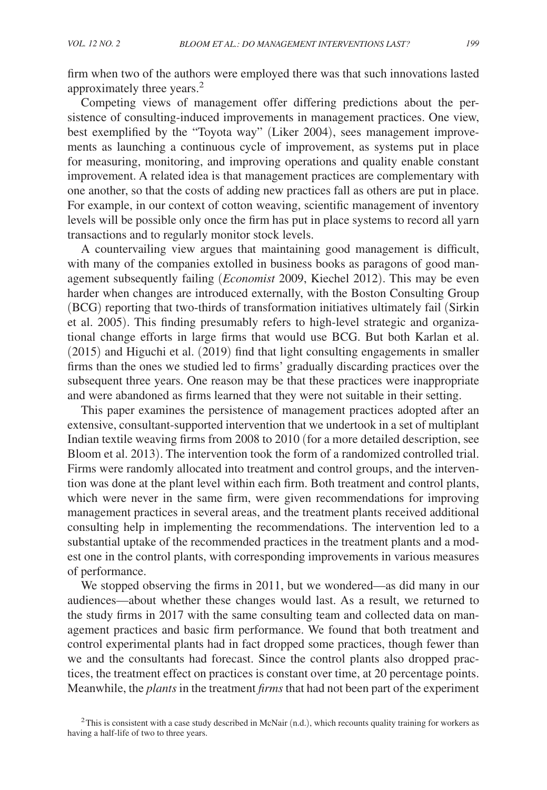firm when two of the authors were employed there was that such innovations lasted approximately three years.<sup>2</sup>

Competing views of management offer differing predictions about the persistence of consulting-induced improvements in management practices. One view, best exemplified by the "Toyota way" (Liker 2004), sees management improvements as launching a continuous cycle of improvement, as systems put in place for measuring, monitoring, and improving operations and quality enable constant improvement. A related idea is that management practices are complementary with one another, so that the costs of adding new practices fall as others are put in place. For example, in our context of cotton weaving, scientific management of inventory levels will be possible only once the firm has put in place systems to record all yarn transactions and to regularly monitor stock levels.

A countervailing view argues that maintaining good management is difficult, with many of the companies extolled in business books as paragons of good management subsequently failing (*Economist* 2009, Kiechel 2012). This may be even harder when changes are introduced externally, with the Boston Consulting Group (BCG) reporting that two-thirds of transformation initiatives ultimately fail (Sirkin et al. 2005). This finding presumably refers to high-level strategic and organizational change efforts in large firms that would use BCG. But both Karlan et al. (2015) and Higuchi et al. (2019) find that light consulting engagements in smaller firms than the ones we studied led to firms' gradually discarding practices over the subsequent three years. One reason may be that these practices were inappropriate and were abandoned as firms learned that they were not suitable in their setting.

This paper examines the persistence of management practices adopted after an extensive, consultant-supported intervention that we undertook in a set of multiplant Indian textile weaving firms from 2008 to 2010 (for a more detailed description, see Bloom et al. 2013). The intervention took the form of a randomized controlled trial. Firms were randomly allocated into treatment and control groups, and the intervention was done at the plant level within each firm. Both treatment and control plants, which were never in the same firm, were given recommendations for improving management practices in several areas, and the treatment plants received additional consulting help in implementing the recommendations. The intervention led to a substantial uptake of the recommended practices in the treatment plants and a modest one in the control plants, with corresponding improvements in various measures of performance.

We stopped observing the firms in 2011, but we wondered—as did many in our audiences—about whether these changes would last. As a result, we returned to the study firms in 2017 with the same consulting team and collected data on management practices and basic firm performance. We found that both treatment and control experimental plants had in fact dropped some practices, though fewer than we and the consultants had forecast. Since the control plants also dropped practices, the treatment effect on practices is constant over time, at 20 percentage points. Meanwhile, the *plants* in the treatment *firms* that had not been part of the experiment

 $2$ This is consistent with a case study described in McNair (n.d.), which recounts quality training for workers as having a half-life of two to three years.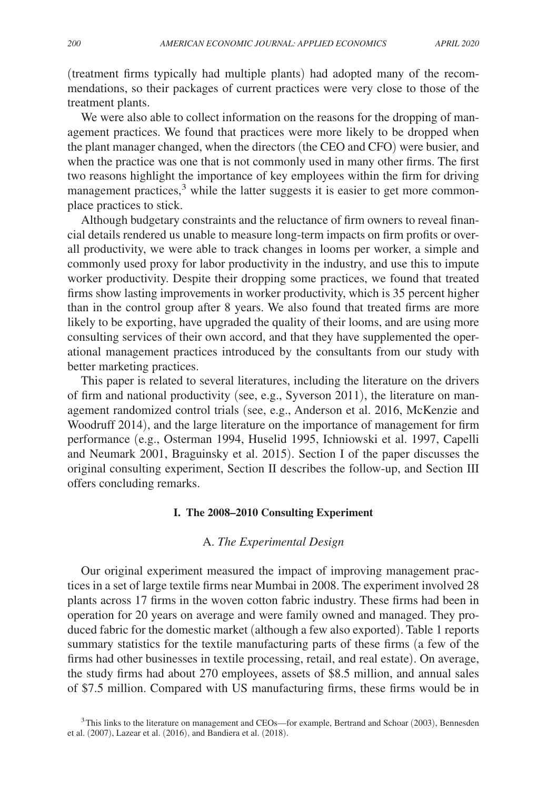(treatment firms typically had multiple plants) had adopted many of the recommendations, so their packages of current practices were very close to those of the treatment plants.

We were also able to collect information on the reasons for the dropping of management practices. We found that practices were more likely to be dropped when the plant manager changed, when the directors (the CEO and CFO) were busier, and when the practice was one that is not commonly used in many other firms. The first two reasons highlight the importance of key employees within the firm for driving management practices,<sup>3</sup> while the latter suggests it is easier to get more commonplace practices to stick.

Although budgetary constraints and the reluctance of firm owners to reveal financial details rendered us unable to measure long-term impacts on firm profits or overall productivity, we were able to track changes in looms per worker, a simple and commonly used proxy for labor productivity in the industry, and use this to impute worker productivity. Despite their dropping some practices, we found that treated firms show lasting improvements in worker productivity, which is 35 percent higher than in the control group after 8 years. We also found that treated firms are more likely to be exporting, have upgraded the quality of their looms, and are using more consulting services of their own accord, and that they have supplemented the operational management practices introduced by the consultants from our study with better marketing practices.

This paper is related to several literatures, including the literature on the drivers of firm and national productivity (see, e.g., Syverson 2011), the literature on management randomized control trials (see, e.g., Anderson et al. 2016, McKenzie and Woodruff 2014), and the large literature on the importance of management for firm performance (e.g., Osterman 1994, Huselid 1995, Ichniowski et al. 1997, Capelli and Neumark 2001, Braguinsky et al. 2015). Section I of the paper discusses the original consulting experiment, Section II describes the follow-up, and Section III offers concluding remarks.

#### **I. The 2008–2010 Consulting Experiment**

## A. *The Experimental Design*

Our original experiment measured the impact of improving management practices in a set of large textile firms near Mumbai in 2008. The experiment involved 28 plants across 17 firms in the woven cotton fabric industry. These firms had been in operation for 20 years on average and were family owned and managed. They produced fabric for the domestic market (although a few also exported). Table 1 reports summary statistics for the textile manufacturing parts of these firms (a few of the firms had other businesses in textile processing, retail, and real estate). On average, the study firms had about 270 employees, assets of \$8.5 million, and annual sales of \$7.5 million. Compared with US manufacturing firms, these firms would be in

<sup>&</sup>lt;sup>3</sup>This links to the literature on management and CEOs—for example, Bertrand and Schoar (2003), Bennesden et al. (2007), Lazear et al. (2016), and Bandiera et al. (2018).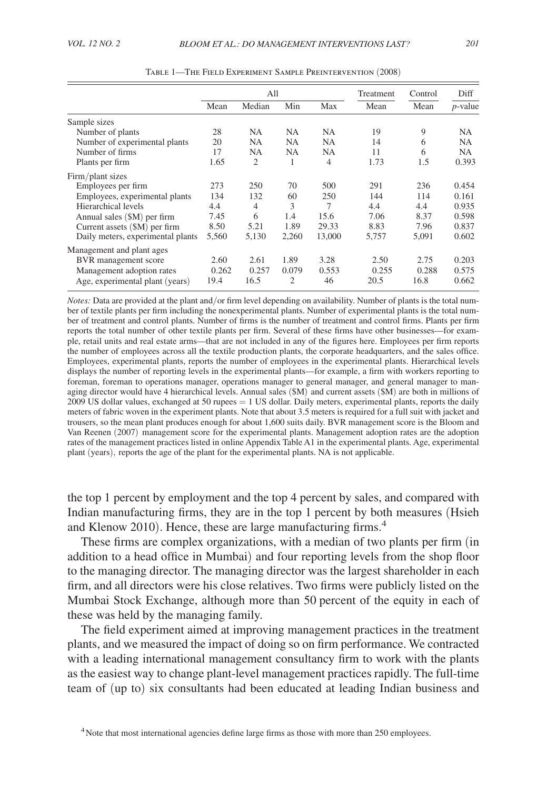|                                   | All   |                |       |                | Treatment | Control | Diff       |
|-----------------------------------|-------|----------------|-------|----------------|-----------|---------|------------|
|                                   | Mean  | Median         | Min   | Max            | Mean      | Mean    | $p$ -value |
| Sample sizes                      |       |                |       |                |           |         |            |
| Number of plants                  | 28    | NA.            | NA    | NA             | 19        | 9       | NA         |
| Number of experimental plants     | 20    | NA             | NA    | <b>NA</b>      | 14        | 6       | NA         |
| Number of firms                   | 17    | <b>NA</b>      | NA    | <b>NA</b>      | 11        | 6       | NA         |
| Plants per firm                   | 1.65  | $\overline{2}$ |       | $\overline{4}$ | 1.73      | 1.5     | 0.393      |
| Firm/plant sizes                  |       |                |       |                |           |         |            |
| Employees per firm                | 273   | 250            | 70    | 500            | 291       | 236     | 0.454      |
| Employees, experimental plants    | 134   | 132            | 60    | 250            | 144       | 114     | 0.161      |
| Hierarchical levels               | 4.4   | $\overline{4}$ | 3     | 7              | 4.4       | 4.4     | 0.935      |
| Annual sales $(SM)$ per firm      | 7.45  | 6              | 1.4   | 15.6           | 7.06      | 8.37    | 0.598      |
| Current assets (\$M) per firm     | 8.50  | 5.21           | 1.89  | 29.33          | 8.83      | 7.96    | 0.837      |
| Daily meters, experimental plants | 5,560 | 5.130          | 2,260 | 13,000         | 5,757     | 5,091   | 0.602      |
| Management and plant ages         |       |                |       |                |           |         |            |
| BVR management score              | 2.60  | 2.61           | 1.89  | 3.28           | 2.50      | 2.75    | 0.203      |
| Management adoption rates         | 0.262 | 0.257          | 0.079 | 0.553          | 0.255     | 0.288   | 0.575      |
| Age, experimental plant (years)   | 19.4  | 16.5           | 2     | 46             | 20.5      | 16.8    | 0.662      |

Table 1—The Field Experiment Sample Preintervention (2008)

*Notes:* Data are provided at the plant and/or firm level depending on availability. Number of plants is the total number of textile plants per firm including the nonexperimental plants. Number of experimental plants is the total number of treatment and control plants. Number of firms is the number of treatment and control firms. Plants per firm reports the total number of other textile plants per firm. Several of these firms have other businesses—for example, retail units and real estate arms—that are not included in any of the figures here. Employees per firm reports the number of employees across all the textile production plants, the corporate headquarters, and the sales office. Employees, experimental plants, reports the number of employees in the experimental plants. Hierarchical levels displays the number of reporting levels in the experimental plants—for example, a firm with workers reporting to foreman, foreman to operations manager, operations manager to general manager, and general manager to managing director would have 4 hierarchical levels. Annual sales (\$M) and current assets (\$M) are both in millions of 2009 US dollar values, exchanged at 50 rupees = 1 US dollar. Daily meters, experimental plants, reports the daily meters of fabric woven in the experiment plants. Note that about 3.5 meters is required for a full suit with jacket and trousers, so the mean plant produces enough for about 1,600 suits daily. BVR management score is the Bloom and Van Reenen (2007) management score for the experimental plants. Management adoption rates are the adoption rates of the management practices listed in online Appendix Table A1 in the experimental plants. Age, experimental plant (years), reports the age of the plant for the experimental plants. NA is not applicable.

the top 1 percent by employment and the top 4 percent by sales, and compared with Indian manufacturing firms, they are in the top 1 percent by both measures (Hsieh and Klenow 2010). Hence, these are large manufacturing firms.<sup>4</sup>

These firms are complex organizations, with a median of two plants per firm (in addition to a head office in Mumbai) and four reporting levels from the shop floor to the managing director. The managing director was the largest shareholder in each firm, and all directors were his close relatives. Two firms were publicly listed on the Mumbai Stock Exchange, although more than 50 percent of the equity in each of these was held by the managing family.

The field experiment aimed at improving management practices in the treatment plants, and we measured the impact of doing so on firm performance. We contracted with a leading international management consultancy firm to work with the plants as the easiest way to change plant-level management practices rapidly. The full-time team of (up to) six consultants had been educated at leading Indian business and

<sup>&</sup>lt;sup>4</sup> Note that most international agencies define large firms as those with more than 250 employees.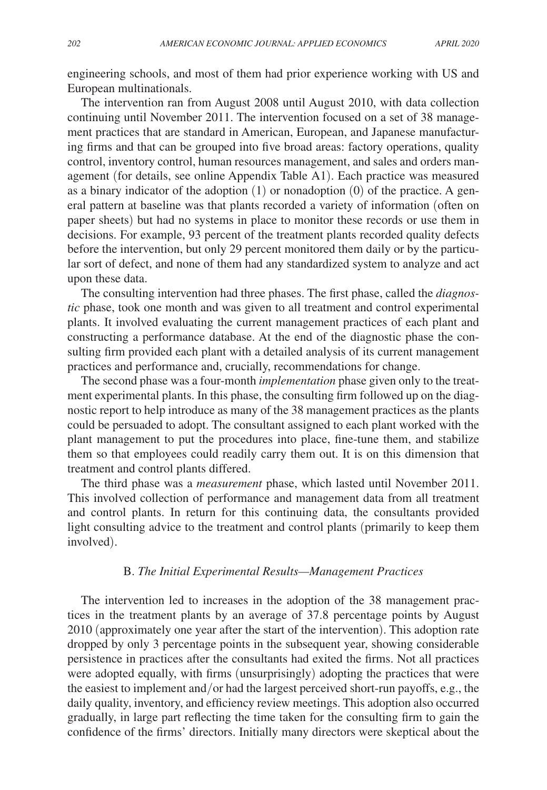engineering schools, and most of them had prior experience working with US and European multinationals.

The intervention ran from August 2008 until August 2010, with data collection continuing until November 2011. The intervention focused on a set of 38 management practices that are standard in American, European, and Japanese manufacturing firms and that can be grouped into five broad areas: factory operations, quality control, inventory control, human resources management, and sales and orders management (for details, see online Appendix Table A1). Each practice was measured as a binary indicator of the adoption (1) or nonadoption (0) of the practice. A general pattern at baseline was that plants recorded a variety of information (often on paper sheets) but had no systems in place to monitor these records or use them in decisions. For example, 93 percent of the treatment plants recorded quality defects before the intervention, but only 29 percent monitored them daily or by the particular sort of defect, and none of them had any standardized system to analyze and act upon these data.

The consulting intervention had three phases. The first phase, called the *diagnostic* phase, took one month and was given to all treatment and control experimental plants. It involved evaluating the current management practices of each plant and constructing a performance database. At the end of the diagnostic phase the consulting firm provided each plant with a detailed analysis of its current management practices and performance and, crucially, recommendations for change.

The second phase was a four-month *implementation* phase given only to the treatment experimental plants. In this phase, the consulting firm followed up on the diagnostic report to help introduce as many of the 38 management practices as the plants could be persuaded to adopt. The consultant assigned to each plant worked with the plant management to put the procedures into place, fine-tune them, and stabilize them so that employees could readily carry them out. It is on this dimension that treatment and control plants differed.

The third phase was a *measurement* phase, which lasted until November 2011. This involved collection of performance and management data from all treatment and control plants. In return for this continuing data, the consultants provided light consulting advice to the treatment and control plants (primarily to keep them involved).

## B. *The Initial Experimental Results—Management Practices*

The intervention led to increases in the adoption of the 38 management practices in the treatment plants by an average of 37.8 percentage points by August 2010 (approximately one year after the start of the intervention). This adoption rate dropped by only 3 percentage points in the subsequent year, showing considerable persistence in practices after the consultants had exited the firms. Not all practices were adopted equally, with firms (unsurprisingly) adopting the practices that were the easiest to implement and/or had the largest perceived short-run payoffs, e.g., the daily quality, inventory, and efficiency review meetings. This adoption also occurred gradually, in large part reflecting the time taken for the consulting firm to gain the confidence of the firms' directors. Initially many directors were skeptical about the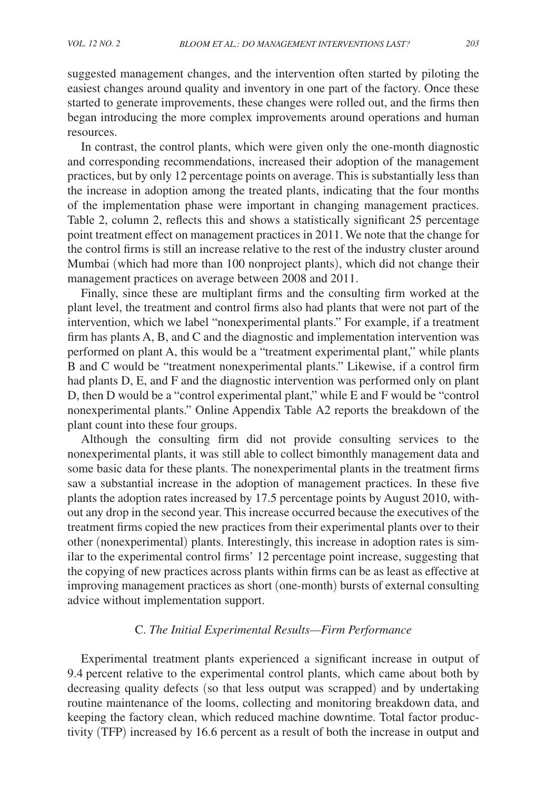suggested management changes, and the intervention often started by piloting the easiest changes around quality and inventory in one part of the factory. Once these started to generate improvements, these changes were rolled out, and the firms then began introducing the more complex improvements around operations and human resources.

In contrast, the control plants, which were given only the one-month diagnostic and corresponding recommendations, increased their adoption of the management practices, but by only 12 percentage points on average. This is substantially less than the increase in adoption among the treated plants, indicating that the four months of the implementation phase were important in changing management practices. Table 2, column 2, reflects this and shows a statistically significant 25 percentage point treatment effect on management practices in 2011. We note that the change for the control firms is still an increase relative to the rest of the industry cluster around Mumbai (which had more than 100 nonproject plants), which did not change their management practices on average between 2008 and 2011.

Finally, since these are multiplant firms and the consulting firm worked at the plant level, the treatment and control firms also had plants that were not part of the intervention, which we label "nonexperimental plants." For example, if a treatment firm has plants A, B, and C and the diagnostic and implementation intervention was performed on plant A, this would be a "treatment experimental plant," while plants B and C would be "treatment nonexperimental plants." Likewise, if a control firm had plants D, E, and F and the diagnostic intervention was performed only on plant D, then D would be a "control experimental plant," while E and F would be "control nonexperimental plants." Online Appendix Table A2 reports the breakdown of the plant count into these four groups.

Although the consulting firm did not provide consulting services to the nonexperimental plants, it was still able to collect bimonthly management data and some basic data for these plants. The nonexperimental plants in the treatment firms saw a substantial increase in the adoption of management practices. In these five plants the adoption rates increased by 17.5 percentage points by August 2010, without any drop in the second year. This increase occurred because the executives of the treatment firms copied the new practices from their experimental plants over to their other ( nonexperimental) plants. Interestingly, this increase in adoption rates is similar to the experimental control firms' 12 percentage point increase, suggesting that the copying of new practices across plants within firms can be as least as effective at improving management practices as short ( one-month) bursts of external consulting advice without implementation support.

# C. *The Initial Experimental Results—Firm Performance*

Experimental treatment plants experienced a significant increase in output of 9.4 percent relative to the experimental control plants, which came about both by decreasing quality defects (so that less output was scrapped) and by undertaking routine maintenance of the looms, collecting and monitoring breakdown data, and keeping the factory clean, which reduced machine downtime. Total factor productivity (TFP) increased by 16.6 percent as a result of both the increase in output and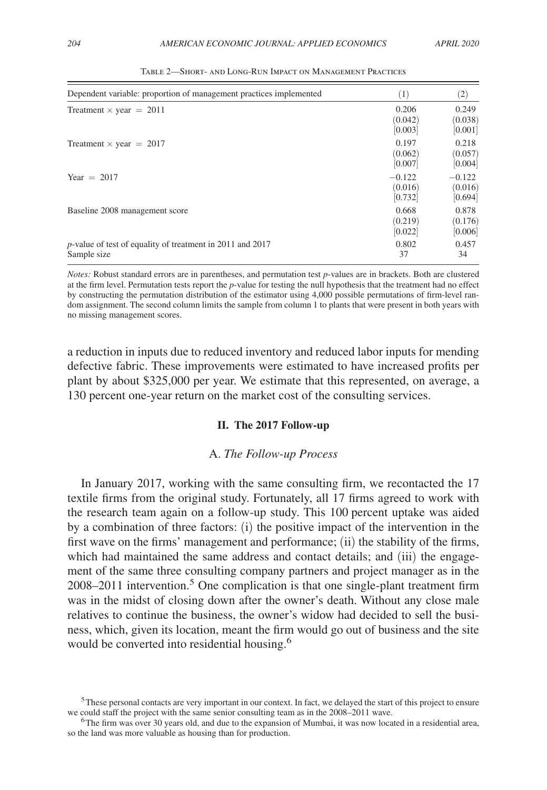| Dependent variable: proportion of management practices implemented          | (1)                            | $\left( 2\right)$              |
|-----------------------------------------------------------------------------|--------------------------------|--------------------------------|
| Treatment $\times$ year = 2011                                              | 0.206<br>(0.042)<br>[0.003]    | 0.249<br>(0.038)<br>[0.001]    |
| Treatment $\times$ year = 2017                                              | 0.197<br>(0.062)<br>[0.007]    | 0.218<br>(0.057)<br>[0.004]    |
| Year $= 2017$                                                               | $-0.122$<br>(0.016)<br>[0.732] | $-0.122$<br>(0.016)<br>[0.694] |
| Baseline 2008 management score                                              | 0.668<br>(0.219)<br>[0.022]    | 0.878<br>(0.176)<br>[0.006]    |
| $p$ -value of test of equality of treatment in 2011 and 2017<br>Sample size | 0.802<br>37                    | 0.457<br>34                    |

Table 2—Short- and Long-Run Impact on Management Practices

*Notes:* Robust standard errors are in parentheses, and permutation test *p*-values are in brackets. Both are clustered at the firm level. Permutation tests report the *p*-value for testing the null hypothesis that the treatment had no effect by constructing the permutation distribution of the estimator using 4,000 possible permutations of firm-level random assignment. The second column limits the sample from column 1 to plants that were present in both years with no missing management scores.

a reduction in inputs due to reduced inventory and reduced labor inputs for mending defective fabric. These improvements were estimated to have increased profits per plant by about \$325,000 per year. We estimate that this represented, on average, a 130 percent one-year return on the market cost of the consulting services.

## **II. The 2017 Follow-up**

# A. *The Follow-up Process*

In January 2017, working with the same consulting firm, we recontacted the 17 textile firms from the original study. Fortunately, all 17 firms agreed to work with the research team again on a follow-up study. This 100 percent uptake was aided by a combination of three factors: (i) the positive impact of the intervention in the first wave on the firms' management and performance; (ii) the stability of the firms, which had maintained the same address and contact details; and (iii) the engagement of the same three consulting company partners and project manager as in the 2008–2011 intervention.<sup>5</sup> One complication is that one single-plant treatment firm was in the midst of closing down after the owner's death. Without any close male relatives to continue the business, the owner's widow had decided to sell the business, which, given its location, meant the firm would go out of business and the site would be converted into residential housing.<sup>6</sup>

<sup>5</sup>These personal contacts are very important in our context. In fact, we delayed the start of this project to ensure we could staff the project with the same senior consulting team as in the 2008–2011 wave.

<sup>&</sup>lt;sup>6</sup>The firm was over 30 years old, and due to the expansion of Mumbai, it was now located in a residential area, so the land was more valuable as housing than for production.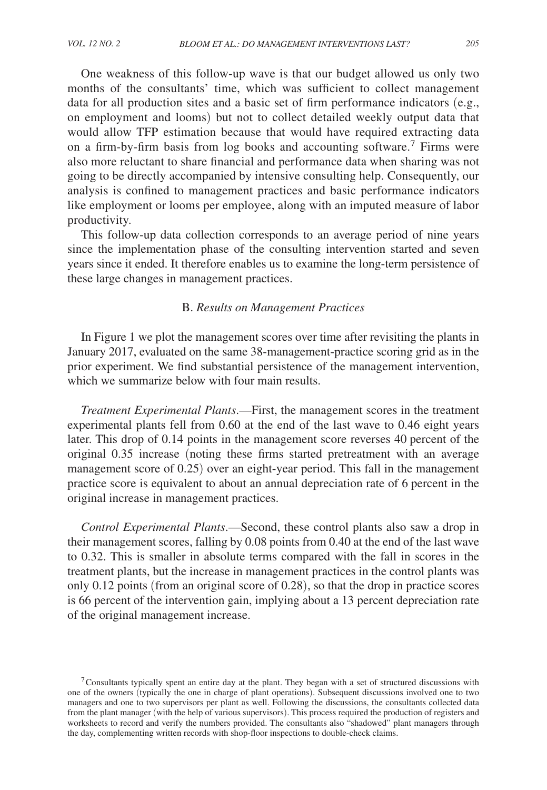One weakness of this follow-up wave is that our budget allowed us only two months of the consultants' time, which was sufficient to collect management data for all production sites and a basic set of firm performance indicators (e.g., on employment and looms) but not to collect detailed weekly output data that would allow TFP estimation because that would have required extracting data on a firm-by-firm basis from log books and accounting software.<sup>7</sup> Firms were also more reluctant to share financial and performance data when sharing was not going to be directly accompanied by intensive consulting help. Consequently, our analysis is confined to management practices and basic performance indicators like employment or looms per employee, along with an imputed measure of labor productivity.

This follow-up data collection corresponds to an average period of nine years since the implementation phase of the consulting intervention started and seven years since it ended. It therefore enables us to examine the long-term persistence of these large changes in management practices.

# B. *Results on Management Practices*

In Figure 1 we plot the management scores over time after revisiting the plants in January 2017, evaluated on the same 38-management-practice scoring grid as in the prior experiment. We find substantial persistence of the management intervention, which we summarize below with four main results.

*Treatment Experimental Plants*.—First, the management scores in the treatment experimental plants fell from 0.60 at the end of the last wave to 0.46 eight years later. This drop of 0.14 points in the management score reverses 40 percent of the original 0.35 increase (noting these firms started pretreatment with an average management score of 0.25) over an eight-year period. This fall in the management practice score is equivalent to about an annual depreciation rate of 6 percent in the original increase in management practices.

*Control Experimental Plants*.—Second, these control plants also saw a drop in their management scores, falling by 0.08 points from 0.40 at the end of the last wave to 0.32. This is smaller in absolute terms compared with the fall in scores in the treatment plants, but the increase in management practices in the control plants was only 0.12 points (from an original score of 0.28), so that the drop in practice scores is 66 percent of the intervention gain, implying about a 13 percent depreciation rate of the original management increase.

 $7$ Consultants typically spent an entire day at the plant. They began with a set of structured discussions with one of the owners (typically the one in charge of plant operations). Subsequent discussions involved one to two managers and one to two supervisors per plant as well. Following the discussions, the consultants collected data from the plant manager (with the help of various supervisors). This process required the production of registers and worksheets to record and verify the numbers provided. The consultants also "shadowed" plant managers through the day, complementing written records with shop-floor inspections to double-check claims.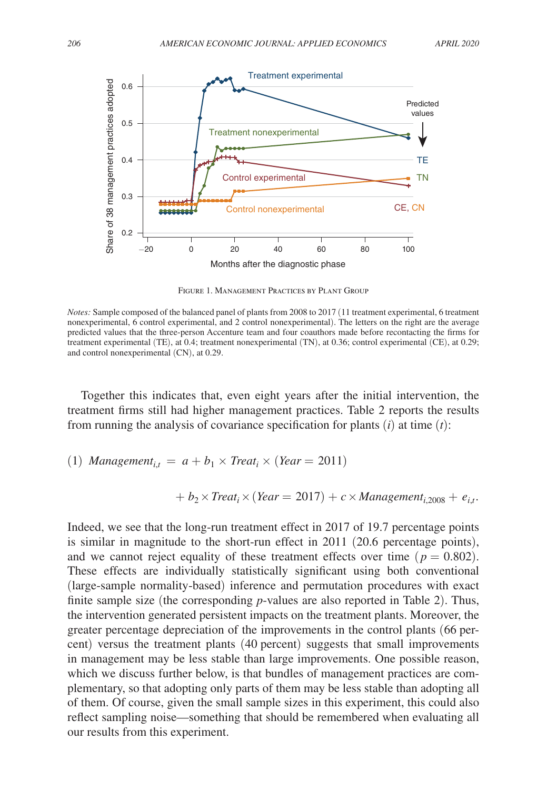

Figure 1. Management Practices by Plant Group

*Notes:* Sample composed of the balanced panel of plants from 2008 to 2017 (11 treatment experimental, 6 treatment nonexperimental, 6 control experimental, and 2 control nonexperimental). The letters on the right are the average predicted values that the three-person Accenture team and four coauthors made before recontacting the firms for treatment experimental (TE), at 0.4; treatment nonexperimental (TN), at 0.36; control experimental (CE), at 0.29; and control nonexperimental (CN), at 0.29.

Together this indicates that, even eight years after the initial intervention, the treatment firms still had higher management practices. Table 2 reports the results from running the analysis of covariance specification for plants (*i*) at time (*t*):

(1) *Management*<sub>*i,t*</sub> = 
$$
a + b_1 \times Treat_i \times (Year = 2011)
$$

$$
+ b_2 \times Treat_i \times (Year = 2017) + c \times Management_{i,2008} + e_{i,t}.
$$

Indeed, we see that the long-run treatment effect in 2017 of 19.7 percentage points is similar in magnitude to the short-run effect in 2011 (20.6 percentage points), and we cannot reject equality of these treatment effects over time  $(p = 0.802)$ . These effects are individually statistically significant using both conventional ( large-sample normality-based) inference and permutation procedures with exact finite sample size (the corresponding *p*-values are also reported in Table 2). Thus, the intervention generated persistent impacts on the treatment plants. Moreover, the greater percentage depreciation of the improvements in the control plants (66 percent) versus the treatment plants (40 percent) suggests that small improvements in management may be less stable than large improvements. One possible reason, which we discuss further below, is that bundles of management practices are complementary, so that adopting only parts of them may be less stable than adopting all of them. Of course, given the small sample sizes in this experiment, this could also reflect sampling noise—something that should be remembered when evaluating all our results from this experiment.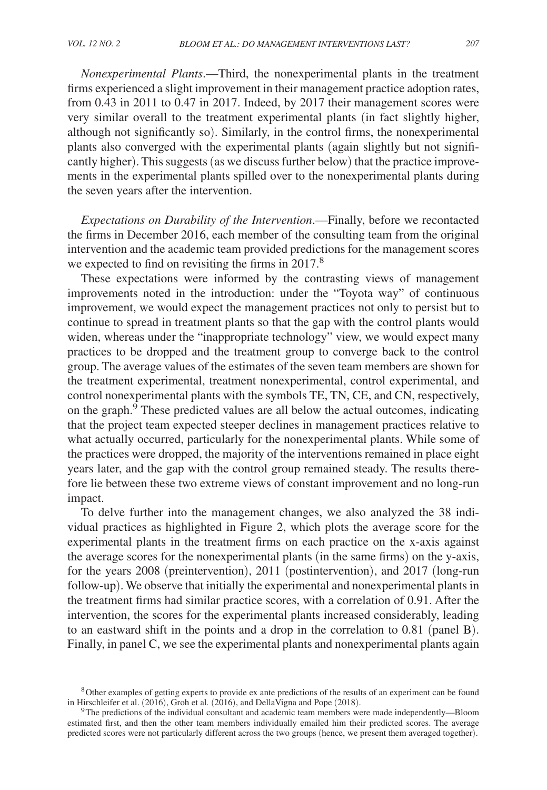*Nonexperimental Plants*.—Third, the nonexperimental plants in the treatment firms experienced a slight improvement in their management practice adoption rates, from 0.43 in 2011 to 0.47 in 2017. Indeed, by 2017 their management scores were very similar overall to the treatment experimental plants (in fact slightly higher, although not significantly so). Similarly, in the control firms, the nonexperimental plants also converged with the experimental plants (again slightly but not significantly higher). This suggests (as we discuss further below) that the practice improvements in the experimental plants spilled over to the nonexperimental plants during the seven years after the intervention.

*Expectations on Durability of the Intervention*.—Finally, before we recontacted the firms in December 2016, each member of the consulting team from the original intervention and the academic team provided predictions for the management scores we expected to find on revisiting the firms in 2017.<sup>8</sup>

These expectations were informed by the contrasting views of management improvements noted in the introduction: under the "Toyota way" of continuous improvement, we would expect the management practices not only to persist but to continue to spread in treatment plants so that the gap with the control plants would widen, whereas under the "inappropriate technology" view, we would expect many practices to be dropped and the treatment group to converge back to the control group. The average values of the estimates of the seven team members are shown for the treatment experimental, treatment nonexperimental, control experimental, and control nonexperimental plants with the symbols TE, TN, CE, and CN, respectively, on the graph. $9$  These predicted values are all below the actual outcomes, indicating that the project team expected steeper declines in management practices relative to what actually occurred, particularly for the nonexperimental plants. While some of the practices were dropped, the majority of the interventions remained in place eight years later, and the gap with the control group remained steady. The results therefore lie between these two extreme views of constant improvement and no long-run impact.

To delve further into the management changes, we also analyzed the 38 individual practices as highlighted in Figure 2, which plots the average score for the experimental plants in the treatment firms on each practice on the x-axis against the average scores for the nonexperimental plants (in the same firms) on the y-axis, for the years 2008 ( preintervention), 2011 ( postintervention), and 2017 ( long-run follow-up). We observe that initially the experimental and nonexperimental plants in the treatment firms had similar practice scores, with a correlation of 0.91. After the intervention, the scores for the experimental plants increased considerably, leading to an eastward shift in the points and a drop in the correlation to 0.81 ( panel B). Finally, in panel C, we see the experimental plants and nonexperimental plants again

<sup>8</sup>Other examples of getting experts to provide ex ante predictions of the results of an experiment can be found in Hirschleifer et al. (2016), Groh et al*.* (2016), and DellaVigna and Pope (2018).

<sup>9</sup>The predictions of the individual consultant and academic team members were made independently—Bloom estimated first, and then the other team members individually emailed him their predicted scores. The average predicted scores were not particularly different across the two groups (hence, we present them averaged together).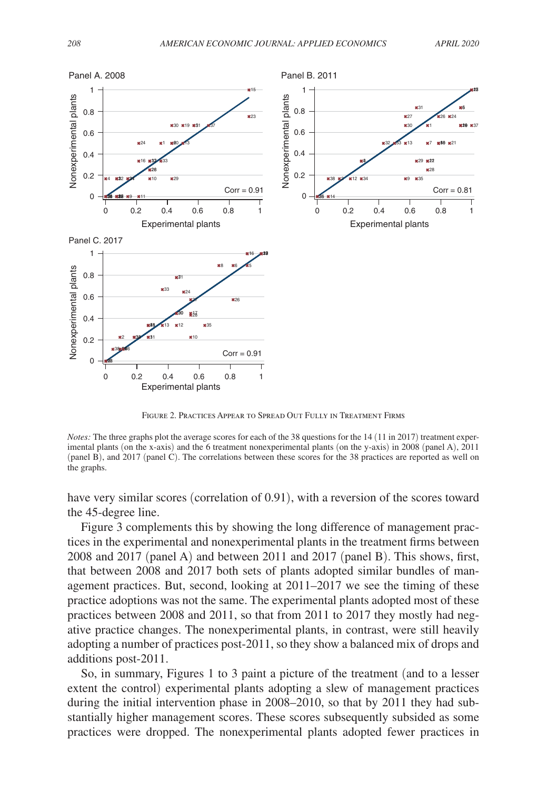

Figure 2. Practices Appear to Spread Out Fully in Treatment Firms

*Notes:* The three graphs plot the average scores for each of the 38 questions for the 14 (11 in 2017) treatment experimental plants (on the x-axis) and the 6 treatment nonexperimental plants (on the y-axis) in 2008 (panel A), 2011 (panel B), and 2017 (panel C). The correlations between these scores for the 38 practices are reported as well on the graphs.

have very similar scores (correlation of 0.91), with a reversion of the scores toward the 45-degree line.

Figure 3 complements this by showing the long difference of management practices in the experimental and nonexperimental plants in the treatment firms between 2008 and 2017 (panel A) and between 2011 and 2017 (panel B). This shows, first, that between 2008 and 2017 both sets of plants adopted similar bundles of management practices. But, second, looking at 2011–2017 we see the timing of these practice adoptions was not the same. The experimental plants adopted most of these practices between 2008 and 2011, so that from 2011 to 2017 they mostly had negative practice changes. The nonexperimental plants, in contrast, were still heavily adopting a number of practices post-2011, so they show a balanced mix of drops and additions post-2011.

So, in summary, Figures 1 to 3 paint a picture of the treatment (and to a lesser extent the control) experimental plants adopting a slew of management practices during the initial intervention phase in 2008–2010, so that by 2011 they had substantially higher management scores. These scores subsequently subsided as some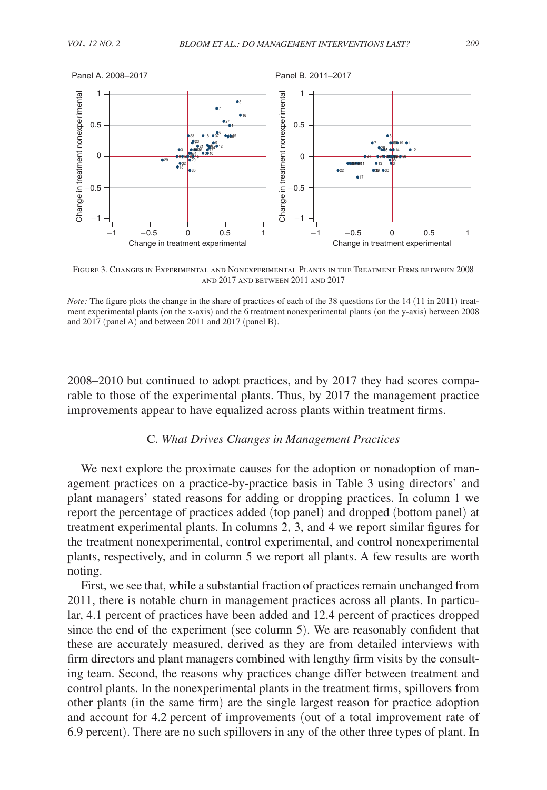

Figure 3. Changes in Experimental and Nonexperimental Plants in the Treatment Firms between 2008 and 2017 and between 2011 and 2017

*Note:* The figure plots the change in the share of practices of each of the 38 questions for the 14 (11 in 2011) treatment experimental plants (on the x-axis) and the 6 treatment nonexperimental plants (on the y-axis) between 2008 and 2017 (panel A) and between 2011 and 2017 (panel B).

 2008–2010 but continued to adopt practices, and by 2017 they had scores comparable to those of the experimental plants. Thus, by 2017 the management practice improvements appear to have equalized across plants within treatment firms.

# C. *What Drives Changes in Management Practices*

We next explore the proximate causes for the adoption or nonadoption of management practices on a practice-by-practice basis in Table 3 using directors' and plant managers' stated reasons for adding or dropping practices. In column 1 we report the percentage of practices added (top panel) and dropped (bottom panel) at treatment experimental plants. In columns 2, 3, and 4 we report similar figures for the treatment nonexperimental, control experimental, and control nonexperimental plants, respectively, and in column 5 we report all plants. A few results are worth noting.

First, we see that, while a substantial fraction of practices remain unchanged from 2011, there is notable churn in management practices across all plants. In particular, 4.1 percent of practices have been added and 12.4 percent of practices dropped since the end of the experiment (see column 5). We are reasonably confident that these are accurately measured, derived as they are from detailed interviews with firm directors and plant managers combined with lengthy firm visits by the consulting team. Second, the reasons why practices change differ between treatment and control plants. In the nonexperimental plants in the treatment firms, spillovers from other plants (in the same firm) are the single largest reason for practice adoption and account for 4.2 percent of improvements (out of a total improvement rate of 6.9 percent). There are no such spillovers in any of the other three types of plant. In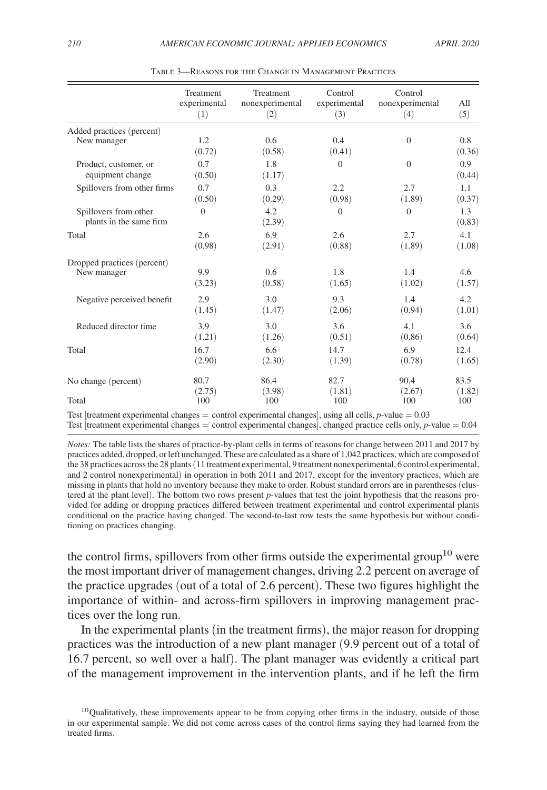|                                                  | Treatment<br>experimental | Treatment<br>nonexperimental | Control<br>experimental | Control<br>nonexperimental | All           |
|--------------------------------------------------|---------------------------|------------------------------|-------------------------|----------------------------|---------------|
|                                                  | (1)                       | (2)                          | (3)                     | (4)                        | (5)           |
| Added practices (percent)                        |                           |                              |                         |                            |               |
| New manager                                      | 1.2<br>(0.72)             | 0.6<br>(0.58)                | 0.4<br>(0.41)           | $\overline{0}$             | 0.8<br>(0.36) |
| Product, customer, or<br>equipment change        | 0.7<br>(0.50)             | 1.8<br>(1.17)                | $\Omega$                | $\overline{0}$             | 0.9<br>(0.44) |
| Spillovers from other firms                      | 0.7                       | 0.3                          | 2.2                     | 2.7                        | 1.1           |
|                                                  | (0.50)                    | (0.29)                       | (0.98)                  | (1.89)                     | (0.37)        |
| Spillovers from other<br>plants in the same firm | $\overline{0}$            | 4.2<br>(2.39)                | $\overline{0}$          | $\theta$                   | 1.3<br>(0.83) |
| Total                                            | 2.6                       | 6.9                          | 2.6                     | 2.7                        | 4.1           |
|                                                  | (0.98)                    | (2.91)                       | (0.88)                  | (1.89)                     | (1.08)        |
| Dropped practices (percent)                      | 9.9                       | 0.6                          | 1.8                     | 1.4                        | 4.6           |
| New manager                                      | (3.23)                    | (0.58)                       | (1.65)                  | (1.02)                     | (1.57)        |
| Negative perceived benefit                       | 2.9                       | 3.0                          | 9.3                     | 1.4                        | 4.2           |
|                                                  | (1.45)                    | (1.47)                       | (2.06)                  | (0.94)                     | (1.01)        |
| Reduced director time                            | 3.9                       | 3.0                          | 3.6                     | 4.1                        | 3.6           |
|                                                  | (1.21)                    | (1.26)                       | (0.51)                  | (0.86)                     | (0.64)        |
| Total                                            | 16.7                      | 6.6                          | 14.7                    | 6.9                        | 12.4          |
|                                                  | (2.90)                    | (2.30)                       | (1.39)                  | (0.78)                     | (1.65)        |
| No change (percent)                              | 80.7                      | 86.4                         | 82.7                    | 90.4                       | 83.5          |
|                                                  | (2.75)                    | (3.98)                       | (1.81)                  | (2.67)                     | (1.82)        |
| Total                                            | 100                       | 100                          | 100                     | 100                        | 100           |

Table 3—Reasons for the Change in Management Practices

Test [treatment experimental changes = control experimental changes], using all cells, *p*-value = 0.03 Test  $[$ treatment experimental changes  $=$  control experimental changes $]$ , changed practice cells only, *p*-value  $= 0.04$ 

*Notes:* The table lists the shares of practice-by-plant cells in terms of reasons for change between 2011 and 2017 by practices added, dropped, or left unchanged. These are calculated as a share of 1,042 practices, which are composed of the 38 practices across the 28 plants (11 treatment experimental, 9 treatment nonexperimental, 6 control experimental, and 2 control nonexperimental) in operation in both 2011 and 2017, except for the inventory practices, which are missing in plants that hold no inventory because they make to order. Robust standard errors are in parentheses (clustered at the plant level). The bottom two rows present *p*-values that test the joint hypothesis that the reasons provided for adding or dropping practices differed between treatment experimental and control experimental plants conditional on the practice having changed. The second-to-last row tests the same hypothesis but without conditioning on practices changing.

the control firms, spillovers from other firms outside the experimental group<sup>10</sup> were the most important driver of management changes, driving 2.2 percent on average of the practice upgrades (out of a total of 2.6 percent). These two figures highlight the importance of within- and across-firm spillovers in improving management practices over the long run.

In the experimental plants (in the treatment firms), the major reason for dropping practices was the introduction of a new plant manager (9.9 percent out of a total of 16.7 percent, so well over a half). The plant manager was evidently a critical part of the management improvement in the intervention plants, and if he left the firm

<sup>&</sup>lt;sup>10</sup>Qualitatively, these improvements appear to be from copying other firms in the industry, outside of those in our experimental sample. We did not come across cases of the control firms saying they had learned from the treated firms.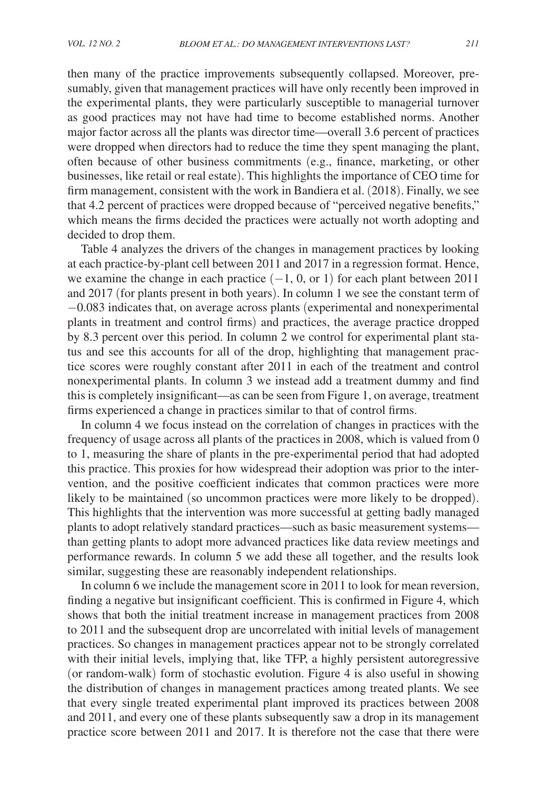then many of the practice improvements subsequently collapsed. Moreover, presumably, given that management practices will have only recently been improved in the experimental plants, they were particularly susceptible to managerial turnover as good practices may not have had time to become established norms. Another major factor across all the plants was director time—overall 3.6 percent of practices were dropped when directors had to reduce the time they spent managing the plant, often because of other business commitments (e.g., finance, marketing, or other businesses, like retail or real estate). This highlights the importance of CEO time for firm management, consistent with the work in Bandiera et al. (2018). Finally, we see that 4.2 percent of practices were dropped because of "perceived negative benefits," which means the firms decided the practices were actually not worth adopting and decided to drop them.

Table 4 analyzes the drivers of the changes in management practices by looking at each practice-by-plant cell between 2011 and 2017 in a regression format. Hence, we examine the change in each practice  $(-1, 0, \text{or } 1)$  for each plant between 2011 and 2017 (for plants present in both years). In column 1 we see the constant term of −0.083 indicates that, on average across plants (experimental and nonexperimental plants in treatment and control firms) and practices, the average practice dropped by 8.3 percent over this period. In column 2 we control for experimental plant status and see this accounts for all of the drop, highlighting that management practice scores were roughly constant after 2011 in each of the treatment and control nonexperimental plants. In column 3 we instead add a treatment dummy and find this is completely insignificant—as can be seen from Figure 1, on average, treatment firms experienced a change in practices similar to that of control firms.

In column 4 we focus instead on the correlation of changes in practices with the frequency of usage across all plants of the practices in 2008, which is valued from 0 to 1, measuring the share of plants in the pre-experimental period that had adopted this practice. This proxies for how widespread their adoption was prior to the intervention, and the positive coefficient indicates that common practices were more likely to be maintained (so uncommon practices were more likely to be dropped). This highlights that the intervention was more successful at getting badly managed plants to adopt relatively standard practices—such as basic measurement systems than getting plants to adopt more advanced practices like data review meetings and performance rewards. In column 5 we add these all together, and the results look similar, suggesting these are reasonably independent relationships.

In column 6 we include the management score in 2011 to look for mean reversion, finding a negative but insignificant coefficient. This is confirmed in Figure 4, which shows that both the initial treatment increase in management practices from 2008 to 2011 and the subsequent drop are uncorrelated with initial levels of management practices. So changes in management practices appear not to be strongly correlated with their initial levels, implying that, like TFP, a highly persistent autoregressive (or random-walk) form of stochastic evolution. Figure 4 is also useful in showing the distribution of changes in management practices among treated plants. We see that every single treated experimental plant improved its practices between 2008 and 2011, and every one of these plants subsequently saw a drop in its management practice score between 2011 and 2017. It is therefore not the case that there were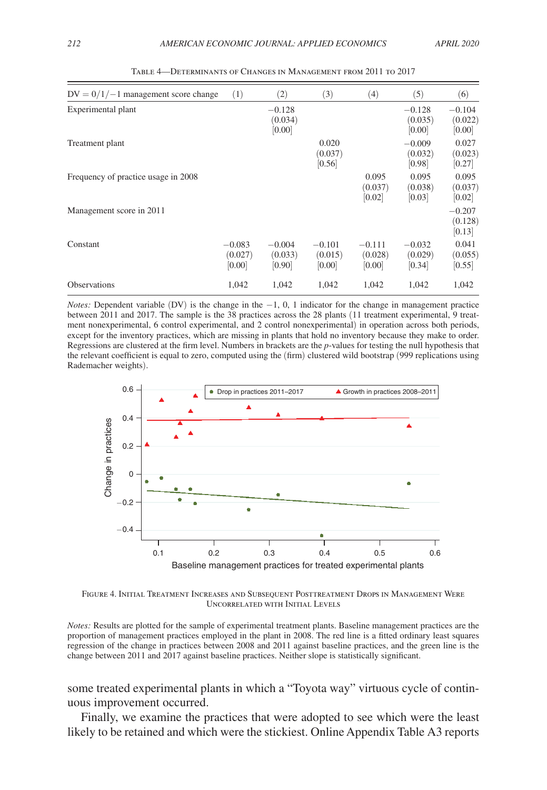| $DV = 0/1/-1$ management score change | (1)                           | (2)                           | (3)                           | (4)                           | (5)                           | (6)                           |
|---------------------------------------|-------------------------------|-------------------------------|-------------------------------|-------------------------------|-------------------------------|-------------------------------|
| Experimental plant                    |                               | $-0.128$<br>(0.034)<br>[0.00] |                               |                               | $-0.128$<br>(0.035)<br>[0.00] | $-0.104$<br>(0.022)<br>[0.00] |
| Treatment plant                       |                               |                               | 0.020<br>(0.037)<br>[0.56]    |                               | $-0.009$<br>(0.032)<br>[0.98] | 0.027<br>(0.023)<br> 0.27     |
| Frequency of practice usage in 2008   |                               |                               |                               | 0.095<br>(0.037)<br>[0.02]    | 0.095<br>(0.038)<br>[0.03]    | 0.095<br>(0.037)<br> 0.02     |
| Management score in 2011              |                               |                               |                               |                               |                               | $-0.207$<br>(0.128)<br>[0.13] |
| Constant                              | $-0.083$<br>(0.027)<br>[0.00] | $-0.004$<br>(0.033)<br>[0.90] | $-0.101$<br>(0.015)<br>[0.00] | $-0.111$<br>(0.028)<br>[0.00] | $-0.032$<br>(0.029)<br>[0.34] | 0.041<br>(0.055)<br>[0.55]    |
| <b>Observations</b>                   | 1.042                         | 1,042                         | 1,042                         | 1,042                         | 1.042                         | 1,042                         |

Table 4—Determinants of Changes in Management from 2011 to 2017

*Notes:* Dependent variable (DV) is the change in the −1, 0, 1 indicator for the change in management practice between 2011 and 2017. The sample is the 38 practices across the 28 plants (11 treatment experimental, 9 treatment nonexperimental, 6 control experimental, and 2 control nonexperimental) in operation across both periods, except for the inventory practices, which are missing in plants that hold no inventory because they make to order. Regressions are clustered at the firm level. Numbers in brackets are the *p*-values for testing the null hypothesis that the relevant coefficient is equal to zero, computed using the (firm) clustered wild bootstrap (999 replications using Rademacher weights).



Figure 4. Initial Treatment Increases and Subsequent Posttreatment Drops in Management Were Uncorrelated with Initial Levels

*Notes:* Results are plotted for the sample of experimental treatment plants. Baseline management practices are the proportion of management practices employed in the plant in 2008. The red line is a fitted ordinary least squares regression of the change in practices between 2008 and 2011 against baseline practices, and the green line is the change between 2011 and 2017 against baseline practices. Neither slope is statistically significant.

some treated experimental plants in which a "Toyota way" virtuous cycle of continuous improvement occurred.

Finally, we examine the practices that were adopted to see which were the least likely to be retained and which were the stickiest. Online Appendix Table A3 reports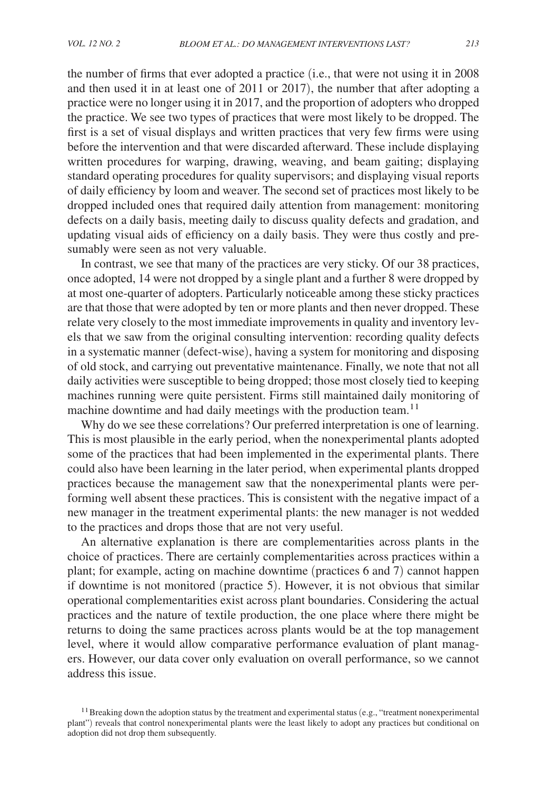the number of firms that ever adopted a practice (i.e., that were not using it in 2008 and then used it in at least one of 2011 or 2017), the number that after adopting a practice were no longer using it in 2017, and the proportion of adopters who dropped the practice. We see two types of practices that were most likely to be dropped. The first is a set of visual displays and written practices that very few firms were using before the intervention and that were discarded afterward. These include displaying written procedures for warping, drawing, weaving, and beam gaiting; displaying standard operating procedures for quality supervisors; and displaying visual reports of daily efficiency by loom and weaver. The second set of practices most likely to be dropped included ones that required daily attention from management: monitoring defects on a daily basis, meeting daily to discuss quality defects and gradation, and updating visual aids of efficiency on a daily basis. They were thus costly and presumably were seen as not very valuable.

In contrast, we see that many of the practices are very sticky. Of our 38 practices, once adopted, 14 were not dropped by a single plant and a further 8 were dropped by at most one-quarter of adopters. Particularly noticeable among these sticky practices are that those that were adopted by ten or more plants and then never dropped. These relate very closely to the most immediate improvements in quality and inventory levels that we saw from the original consulting intervention: recording quality defects in a systematic manner ( defect-wise), having a system for monitoring and disposing of old stock, and carrying out preventative maintenance. Finally, we note that not all daily activities were susceptible to being dropped; those most closely tied to keeping machines running were quite persistent. Firms still maintained daily monitoring of machine downtime and had daily meetings with the production team.<sup>11</sup>

Why do we see these correlations? Our preferred interpretation is one of learning. This is most plausible in the early period, when the nonexperimental plants adopted some of the practices that had been implemented in the experimental plants. There could also have been learning in the later period, when experimental plants dropped practices because the management saw that the nonexperimental plants were performing well absent these practices. This is consistent with the negative impact of a new manager in the treatment experimental plants: the new manager is not wedded to the practices and drops those that are not very useful.

An alternative explanation is there are complementarities across plants in the choice of practices. There are certainly complementarities across practices within a plant; for example, acting on machine downtime (practices 6 and 7) cannot happen if downtime is not monitored (practice 5). However, it is not obvious that similar operational complementarities exist across plant boundaries. Considering the actual practices and the nature of textile production, the one place where there might be returns to doing the same practices across plants would be at the top management level, where it would allow comparative performance evaluation of plant managers. However, our data cover only evaluation on overall performance, so we cannot address this issue.

 $11$  Breaking down the adoption status by the treatment and experimental status (e.g., "treatment nonexperimental plant") reveals that control nonexperimental plants were the least likely to adopt any practices but conditional on adoption did not drop them subsequently.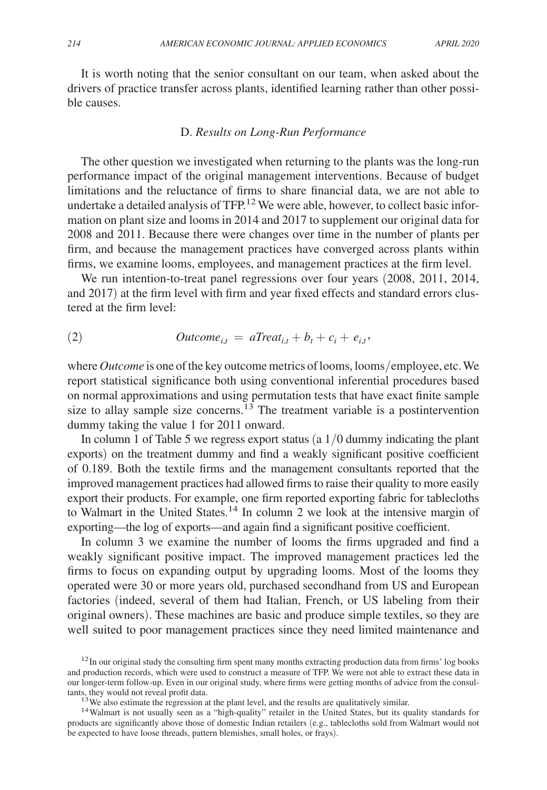It is worth noting that the senior consultant on our team, when asked about the drivers of practice transfer across plants, identified learning rather than other possible causes.

#### D. *Results on Long-Run Performance*

The other question we investigated when returning to the plants was the long-run performance impact of the original management interventions. Because of budget limitations and the reluctance of firms to share financial data, we are not able to undertake a detailed analysis of  $TFP<sup>12</sup>$  We were able, however, to collect basic information on plant size and looms in 2014 and 2017 to supplement our original data for 2008 and 2011. Because there were changes over time in the number of plants per firm, and because the management practices have converged across plants within firms, we examine looms, employees, and management practices at the firm level.

We run intention-to-treat panel regressions over four years (2008, 2011, 2014, and 2017) at the firm level with firm and year fixed effects and standard errors clustered at the firm level:

(2) 
$$
Outcome_{i,t} = aTreat_{i,t} + b_t + c_i + e_{i,t},
$$

where *Outcome* is one of the key outcome metrics of looms, looms/employee, etc. We report statistical significance both using conventional inferential procedures based on normal approximations and using permutation tests that have exact finite sample size to allay sample size concerns.<sup>13</sup> The treatment variable is a postintervention dummy taking the value 1 for 2011 onward.

In column 1 of Table 5 we regress export status  $(a 1/0$  dummy indicating the plant exports) on the treatment dummy and find a weakly significant positive coefficient of 0.189. Both the textile firms and the management consultants reported that the improved management practices had allowed firms to raise their quality to more easily export their products. For example, one firm reported exporting fabric for tablecloths to Walmart in the United States.<sup>14</sup> In column 2 we look at the intensive margin of exporting—the log of exports—and again find a significant positive coefficient.

In column 3 we examine the number of looms the firms upgraded and find a weakly significant positive impact. The improved management practices led the firms to focus on expanding output by upgrading looms. Most of the looms they operated were 30 or more years old, purchased secondhand from US and European factories (indeed, several of them had Italian, French, or US labeling from their original owners). These machines are basic and produce simple textiles, so they are well suited to poor management practices since they need limited maintenance and

 $12$ In our original study the consulting firm spent many months extracting production data from firms' log books and production records, which were used to construct a measure of TFP. We were not able to extract these data in our longer-term follow-up. Even in our original study, where firms were getting months of advice from the consultants, they would not reveal profit data.

 $13$  We also estimate the regression at the plant level, and the results are qualitatively similar.

<sup>&</sup>lt;sup>14</sup>Walmart is not usually seen as a "high-quality" retailer in the United States, but its quality standards for products are significantly above those of domestic Indian retailers (e.g., tablecloths sold from Walmart would not be expected to have loose threads, pattern blemishes, small holes, or frays).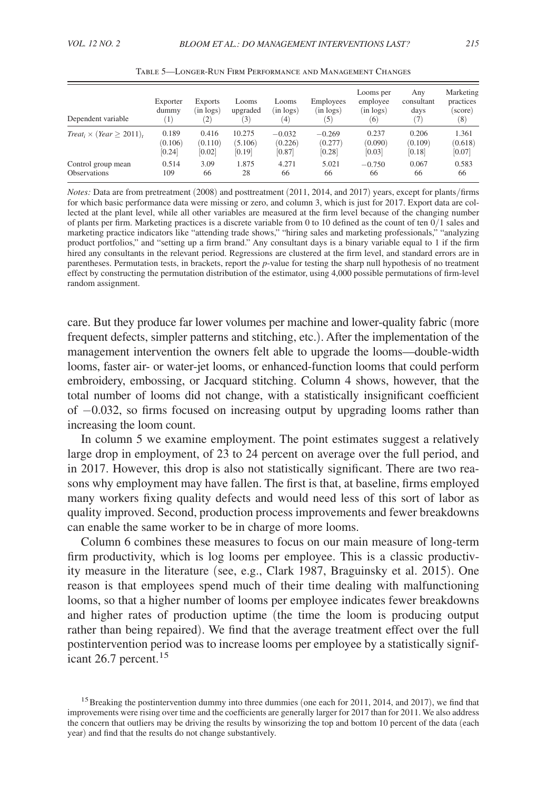| Dependent variable               | Exporter<br>dummy<br>$\mathbf{1}$ | <b>Exports</b><br>$(in \text{ logs})$<br>$\overline{2}$ | Looms<br>upgraded<br>(3) | Looms<br>(in logs)<br>$\left(4\right)$ | Employees<br>$(in \text{ logs})$<br>$\left(5\right)$ | Looms per<br>employee<br>(in logs)<br>(6) | Any<br>consultant<br>days<br>(7) | Marketing<br>practices<br>(score)<br>$^{(8)}$ |
|----------------------------------|-----------------------------------|---------------------------------------------------------|--------------------------|----------------------------------------|------------------------------------------------------|-------------------------------------------|----------------------------------|-----------------------------------------------|
| $Treat_i \times (Year > 2011)$ , | 0.189                             | 0.416                                                   | 10.275                   | $-0.032$                               | $-0.269$                                             | 0.237                                     | 0.206                            | 1.361                                         |
|                                  | (0.106)                           | (0.110)                                                 | (5.106)                  | (0.226)                                | (0.277)                                              | (0.090)                                   | (0.109)                          | (0.618)                                       |
|                                  | [0.24]                            | [0.02]                                                  | [0.19]                   | [0.87]                                 | [0.28]                                               | [0.03]                                    | [0.18]                           | [0.07]                                        |
| Control group mean               | 0.514                             | 3.09                                                    | 1.875                    | 4.271                                  | 5.021                                                | $-0.750$                                  | 0.067                            | 0.583                                         |
| <b>Observations</b>              | 109                               | 66                                                      | 28                       | 66                                     | 66                                                   | 66                                        | 66                               | 66                                            |

Table 5—Longer-Run Firm Performance and Management Changes

*Notes:* Data are from pretreatment (2008) and posttreatment (2011, 2014, and 2017) years, except for plants/firms for which basic performance data were missing or zero, and column 3, which is just for 2017. Export data are collected at the plant level, while all other variables are measured at the firm level because of the changing number of plants per firm. Marketing practices is a discrete variable from 0 to 10 defined as the count of ten  $0/1$  sales and marketing practice indicators like "attending trade shows," "hiring sales and marketing professionals," "analyzing product portfolios," and "setting up a firm brand." Any consultant days is a binary variable equal to 1 if the firm hired any consultants in the relevant period. Regressions are clustered at the firm level, and standard errors are in parentheses. Permutation tests, in brackets, report the *p*-value for testing the sharp null hypothesis of no treatment effect by constructing the permutation distribution of the estimator, using 4,000 possible permutations of firm-level random assignment.

care. But they produce far lower volumes per machine and lower-quality fabric (more frequent defects, simpler patterns and stitching, etc.). After the implementation of the management intervention the owners felt able to upgrade the looms—double-width looms, faster air- or water-jet looms, or enhanced-function looms that could perform embroidery, embossing, or Jacquard stitching. Column 4 shows, however, that the total number of looms did not change, with a statistically insignificant coefficient of −0.032, so firms focused on increasing output by upgrading looms rather than increasing the loom count.

In column 5 we examine employment. The point estimates suggest a relatively large drop in employment, of 23 to 24 percent on average over the full period, and in 2017. However, this drop is also not statistically significant. There are two reasons why employment may have fallen. The first is that, at baseline, firms employed many workers fixing quality defects and would need less of this sort of labor as quality improved. Second, production process improvements and fewer breakdowns can enable the same worker to be in charge of more looms.

Column 6 combines these measures to focus on our main measure of long-term firm productivity, which is log looms per employee. This is a classic productivity measure in the literature (see, e.g., Clark 1987, Braguinsky et al. 2015). One reason is that employees spend much of their time dealing with malfunctioning looms, so that a higher number of looms per employee indicates fewer breakdowns and higher rates of production uptime (the time the loom is producing output rather than being repaired). We find that the average treatment effect over the full postintervention period was to increase looms per employee by a statistically significant 26.7 percent.<sup>15</sup>

<sup>&</sup>lt;sup>15</sup>Breaking the postintervention dummy into three dummies (one each for 2011, 2014, and 2017), we find that improvements were rising over time and the coefficients are generally larger for 2017 than for 2011. We also address the concern that outliers may be driving the results by winsorizing the top and bottom 10 percent of the data (each year) and find that the results do not change substantively.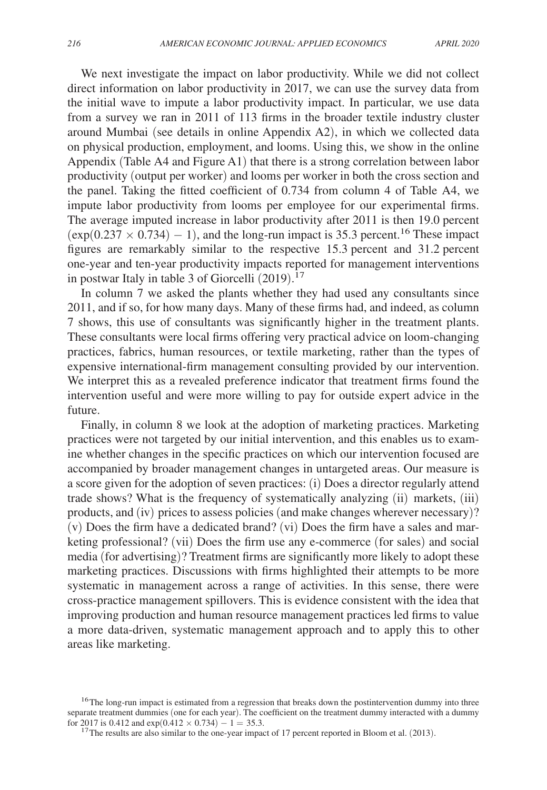We next investigate the impact on labor productivity. While we did not collect direct information on labor productivity in 2017, we can use the survey data from the initial wave to impute a labor productivity impact. In particular, we use data from a survey we ran in 2011 of 113 firms in the broader textile industry cluster around Mumbai (see details in online Appendix A2), in which we collected data on physical production, employment, and looms. Using this, we show in the online Appendix (Table A4 and Figure A1) that there is a strong correlation between labor productivity (output per worker) and looms per worker in both the cross section and the panel. Taking the fitted coefficient of 0.734 from column 4 of Table A4, we impute labor productivity from looms per employee for our experimental firms. The average imputed increase in labor productivity after 2011 is then 19.0 percent  $(\exp(0.237 \times 0.734) - 1)$ , and the long-run impact is 35.3 percent.<sup>16</sup> These impact figures are remarkably similar to the respective 15.3 percent and 31.2 percent one-year and ten-year productivity impacts reported for management interventions in postwar Italy in table 3 of Giorcelli  $(2019)$ .<sup>17</sup>

In column 7 we asked the plants whether they had used any consultants since 2011, and if so, for how many days. Many of these firms had, and indeed, as column 7 shows, this use of consultants was significantly higher in the treatment plants. These consultants were local firms offering very practical advice on loom-changing practices, fabrics, human resources, or textile marketing, rather than the types of expensive international-firm management consulting provided by our intervention. We interpret this as a revealed preference indicator that treatment firms found the intervention useful and were more willing to pay for outside expert advice in the future.

Finally, in column 8 we look at the adoption of marketing practices. Marketing practices were not targeted by our initial intervention, and this enables us to examine whether changes in the specific practices on which our intervention focused are accompanied by broader management changes in untargeted areas. Our measure is a score given for the adoption of seven practices: (i) Does a director regularly attend trade shows? What is the frequency of systematically analyzing (ii) markets, (iii) products, and (iv) prices to assess policies (and make changes wherever necessary)? (v) Does the firm have a dedicated brand? (vi) Does the firm have a sales and marketing professional? (vii) Does the firm use any e-commerce (for sales) and social media (for advertising)? Treatment firms are significantly more likely to adopt these marketing practices. Discussions with firms highlighted their attempts to be more systematic in management across a range of activities. In this sense, there were cross-practice management spillovers. This is evidence consistent with the idea that improving production and human resource management practices led firms to value a more data-driven, systematic management approach and to apply this to other areas like marketing.

<sup>&</sup>lt;sup>16</sup>The long-run impact is estimated from a regression that breaks down the postintervention dummy into three separate treatment dummies (one for each year). The coefficient on the treatment dummy interacted with a dummy for 2017 is 0.412 and  $exp(0.412 \times 0.734) - 1 = 35.3$ .

 $17$ The results are also similar to the one-year impact of 17 percent reported in Bloom et al. (2013).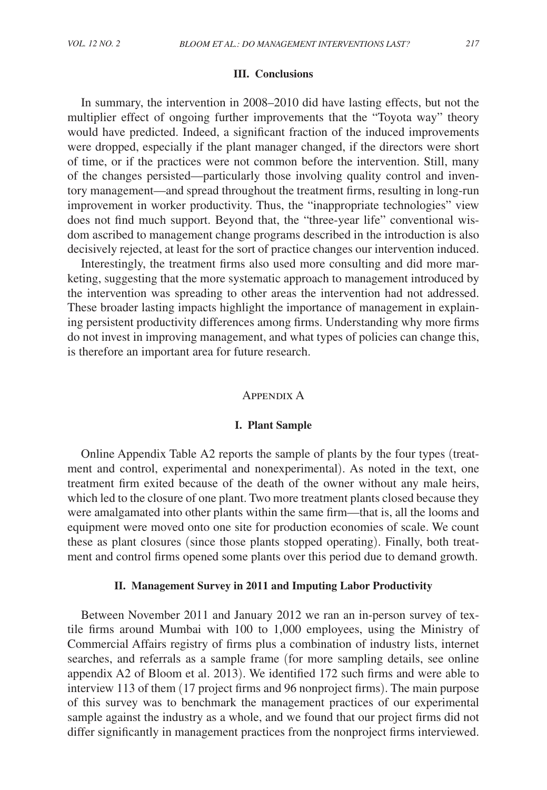# **III. Conclusions**

In summary, the intervention in 2008–2010 did have lasting effects, but not the multiplier effect of ongoing further improvements that the "Toyota way" theory would have predicted. Indeed, a significant fraction of the induced improvements were dropped, especially if the plant manager changed, if the directors were short of time, or if the practices were not common before the intervention. Still, many of the changes persisted—particularly those involving quality control and inventory management—and spread throughout the treatment firms, resulting in long-run improvement in worker productivity. Thus, the "inappropriate technologies" view does not find much support. Beyond that, the "three-year life" conventional wisdom ascribed to management change programs described in the introduction is also decisively rejected, at least for the sort of practice changes our intervention induced.

Interestingly, the treatment firms also used more consulting and did more marketing, suggesting that the more systematic approach to management introduced by the intervention was spreading to other areas the intervention had not addressed. These broader lasting impacts highlight the importance of management in explaining persistent productivity differences among firms. Understanding why more firms do not invest in improving management, and what types of policies can change this, is therefore an important area for future research.

# Appendix A

## **I. Plant Sample**

Online Appendix Table A2 reports the sample of plants by the four types (treatment and control, experimental and nonexperimental). As noted in the text, one treatment firm exited because of the death of the owner without any male heirs, which led to the closure of one plant. Two more treatment plants closed because they were amalgamated into other plants within the same firm—that is, all the looms and equipment were moved onto one site for production economies of scale. We count these as plant closures (since those plants stopped operating). Finally, both treatment and control firms opened some plants over this period due to demand growth.

## **II. Management Survey in 2011 and Imputing Labor Productivity**

Between November 2011 and January 2012 we ran an in-person survey of textile firms around Mumbai with 100 to 1,000 employees, using the Ministry of Commercial Affairs registry of firms plus a combination of industry lists, internet searches, and referrals as a sample frame (for more sampling details, see online appendix A2 of Bloom et al. 2013). We identified 172 such firms and were able to interview 113 of them (17 project firms and 96 nonproject firms). The main purpose of this survey was to benchmark the management practices of our experimental sample against the industry as a whole, and we found that our project firms did not differ significantly in management practices from the nonproject firms interviewed.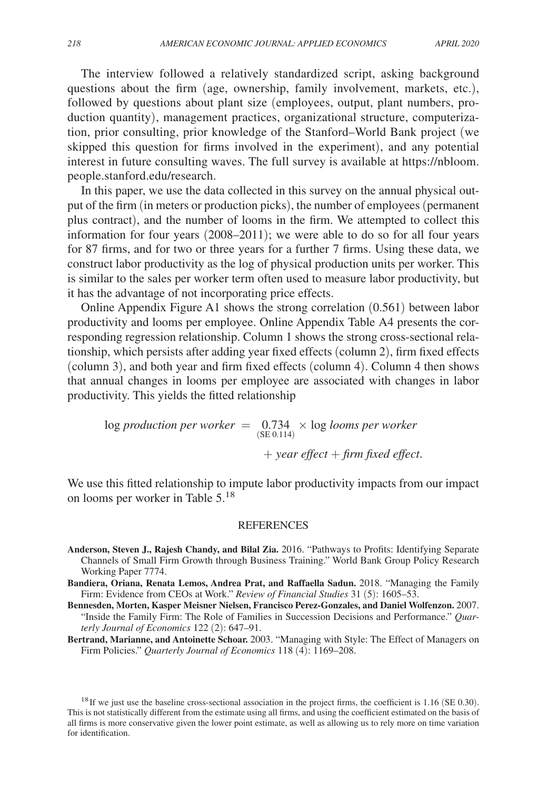The interview followed a relatively standardized script, asking background questions about the firm (age, ownership, family involvement, markets, etc.), followed by questions about plant size (employees, output, plant numbers, production quantity), management practices, organizational structure, computerization, prior consulting, prior knowledge of the Stanford–World Bank project (we skipped this question for firms involved in the experiment), and any potential interest in future consulting waves. The full survey is available at https://nbloom. people.stanford.edu/research.

In this paper, we use the data collected in this survey on the annual physical output of the firm (in meters or production picks), the number of employees (permanent plus contract), and the number of looms in the firm. We attempted to collect this information for four years (2008–2011); we were able to do so for all four years for 87 firms, and for two or three years for a further 7 firms. Using these data, we construct labor productivity as the log of physical production units per worker. This is similar to the sales per worker term often used to measure labor productivity, but it has the advantage of not incorporating price effects.

Online Appendix Figure A1 shows the strong correlation (0.561) between labor productivity and looms per employee. Online Appendix Table A4 presents the corresponding regression relationship. Column 1 shows the strong cross-sectional relationship, which persists after adding year fixed effects (column 2), firm fixed effects (column 3), and both year and firm fixed effects (column 4). Column 4 then shows that annual changes in looms per employee are associated with changes in labor productivity. This yields the fitted relationship

log *production per worker*  $=$   $(0.734 \times 0.05)$  *looms per worker* + *year effect* + *firm fixed effect*.

We use this fitted relationship to impute labor productivity impacts from our impact on looms per worker in Table 5.<sup>18</sup>

# REFERENCES

- **Anderson, Steven J., Rajesh Chandy, and Bilal Zia.** 2016. "Pathways to Profits: Identifying Separate Channels of Small Firm Growth through Business Training." World Bank Group Policy Research Working Paper 7774.
- **Bandiera, Oriana, Renata Lemos, Andrea Prat, and Raffaella Sadun.** 2018. "Managing the Family Firm: Evidence from CEOs at Work." *Review of Financial Studies* 31 (5): 1605–53.
- **Bennesden, Morten, Kasper Meisner Nielsen, Francisco Perez-Gonzales, and Daniel Wolfenzon.** 2007. "Inside the Family Firm: The Role of Families in Succession Decisions and Performance." *Quarterly Journal of Economics* 122 (2): 647–91.
- **Bertrand, Marianne, and Antoinette Schoar.** 2003. "Managing with Style: The Effect of Managers on Firm Policies." *Quarterly Journal of Economics* 118 (4): 1169–208.

<sup>18</sup>If we just use the baseline cross-sectional association in the project firms, the coefficient is 1.16 (SE 0.30). This is not statistically different from the estimate using all firms, and using the coefficient estimated on the basis of all firms is more conservative given the lower point estimate, as well as allowing us to rely more on time variation for identification.